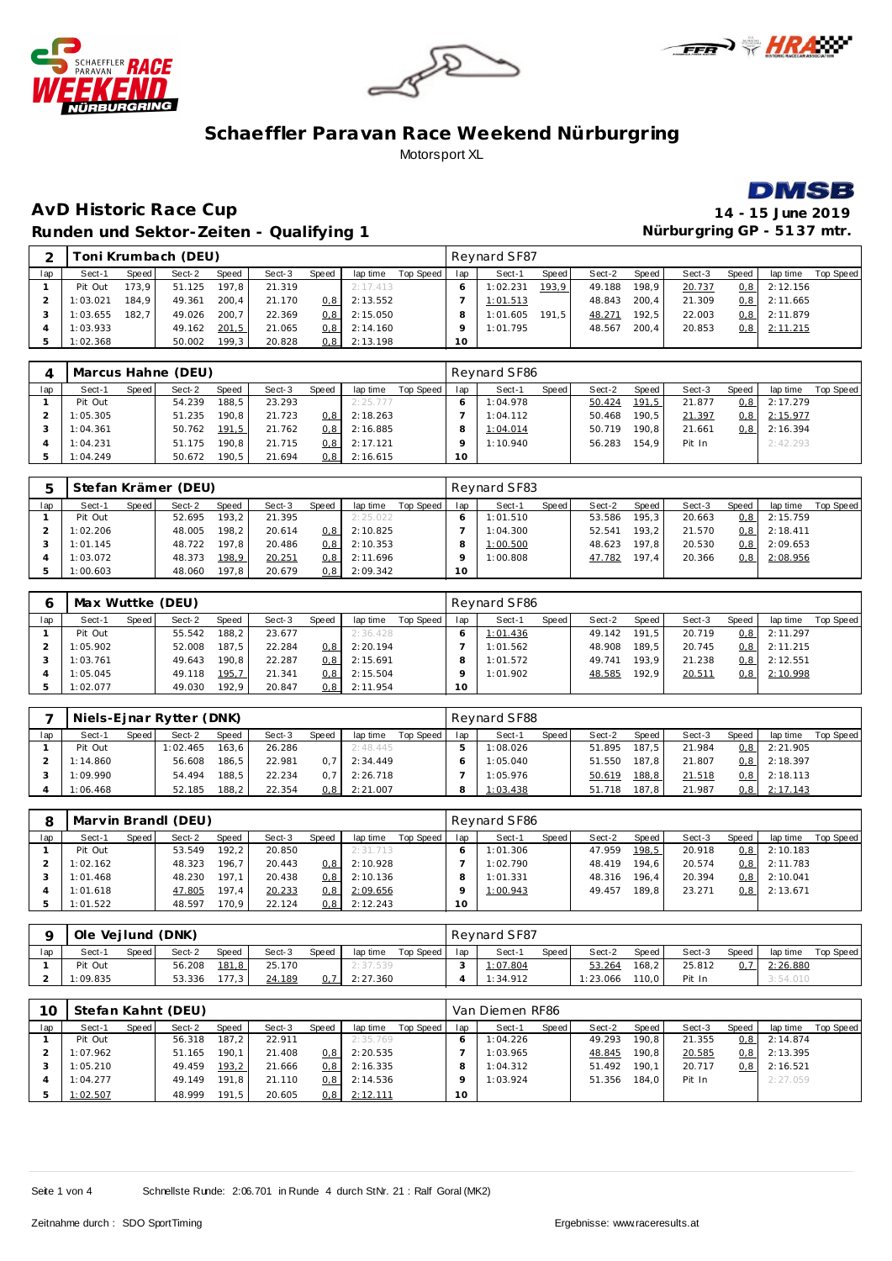







#### **AvD Historic Race Cup 14 - 15 June 2019 Runden und Sektor-Zeiten - Qualifying 1 Nürburgring GP - 51 37 mtr.**

|     |          |       | Toni Krumbach (DEU) |       |        |       |          |           |                 | Reynard SF87 |       |        |       |        |                  |          |           |
|-----|----------|-------|---------------------|-------|--------|-------|----------|-----------|-----------------|--------------|-------|--------|-------|--------|------------------|----------|-----------|
| lap | Sect-1   | Speed | Sect-2              | Speed | Sect-3 | Speed | lap time | Top Speed | lap             | Sect-1       | Speed | Sect-2 | Speed | Sect-3 | Speed            | lap time | Top Speed |
|     | Pit Out  | 173.9 | 51.125              | 197.8 | 21.319 |       | 2:17.413 |           |                 | 1:02.231     | 193.9 | 49.188 | 198.9 | 20.737 | 0.8              | 2:12.156 |           |
|     | 1:03.021 | 184.9 | 49.361              | 200.4 | 21.170 | 0.8   | 2:13.552 |           |                 | 1:01.513     |       | 48.843 | 200.4 | 21.309 | 0.8 <sub>1</sub> | 2:11.665 |           |
|     | 1:03.655 | 182.7 | 49.026              | 200.7 | 22.369 | 0.81  | 2:15.050 |           |                 | 1:01.605     | 191.5 | 48.271 | 192.5 | 22.003 | 0.8 <sub>1</sub> | 2:11.879 |           |
|     | 1:03.933 |       | 49.162              | 201,5 | 21.065 | 0.81  | 2:14.160 |           | o               | 1:01.795     |       | 48.567 | 200.4 | 20.853 | 0, 8             | 2:11.215 |           |
|     | 1:02.368 |       | 50.002              | 199.3 | 20.828 | 0,81  | 2:13.198 |           | 10 <sup>1</sup> |              |       |        |       |        |                  |          |           |

|     |          |       | Marcus Hahne (DEU) |       |        |       |          |           |     | Reynard SF86 |       |        |       |        |       |          |           |
|-----|----------|-------|--------------------|-------|--------|-------|----------|-----------|-----|--------------|-------|--------|-------|--------|-------|----------|-----------|
| lap | Sect-1   | Speed | Sect-2             | Speed | Sect-3 | Speed | lap time | Top Speed | lap | Sect-1       | Speed | Sect-2 | Speed | Sect-3 | Speed | lap time | Top Speed |
|     | Pit Out  |       | 54.239             | 188.5 | 23.293 |       | 2:25.777 |           |     | 1:04.978     |       | 50.424 | 191,5 | 21.877 | 0, 8  | 2:17.279 |           |
|     | 1:05.305 |       | 51.235             | 190.8 | 21.723 | 0.8   | 2:18.263 |           |     | 1:04.112     |       | 50.468 | 190.5 | 21.397 | 0,8   | 2:15.977 |           |
|     | 1:04.361 |       | 50.762             | 191,5 | 21.762 | 0.8   | 2:16.885 |           |     | 1:04.014     |       | 50.719 | 190.8 | 21.661 | 0, 8  | 2:16.394 |           |
|     | 1:04.231 |       | 51.175             | 190.8 | 21.715 | 0.8   | 2:17.121 |           |     | 1:10.940     |       | 56.283 | 154.9 | Pit In |       | 2:42.293 |           |
|     | 1:04.249 |       | 50.672             | 190.5 | 21.694 | 0, 8  | 2:16.615 |           | 10  |              |       |        |       |        |       |          |           |

|     |          |       | Stefan Krämer (DEU) |        |        |                  |          |           |     | Reynard SF83 |       |        |       |        |       |          |           |
|-----|----------|-------|---------------------|--------|--------|------------------|----------|-----------|-----|--------------|-------|--------|-------|--------|-------|----------|-----------|
| lap | Sect-1   | Speed | Sect-2              | Speed  | Sect-3 | Speed            | lap time | Top Speed | lap | Sect-1       | Speed | Sect-2 | Speed | Sect-3 | Speed | lap time | Top Speed |
|     | Pit Out  |       | 52.695              | 193, 2 | 21.395 |                  | 2:25.022 |           |     | 1:01.510     |       | 53.586 | 195.3 | 20.663 | 0,8   | 2:15.759 |           |
|     | 1:02.206 |       | 48.005              | 198,2  | 20.614 | 0.8 <sub>1</sub> | 2:10.825 |           |     | 1:04.300     |       | 52.541 | 193.2 | 21.570 | 0,8   | 2:18.411 |           |
|     | 1:01.145 |       | 48.722              | 197.8  | 20.486 | 0.8              | 2:10.353 |           |     | 1:00.500     |       | 48.623 | 197.8 | 20.530 | 0, 8  | 2:09.653 |           |
|     | 1:03.072 |       | 48.373              | 198,9  | 20.251 | 0, 8             | 2:11.696 |           |     | 1:00.808     |       | 47.782 | 197.4 | 20.366 | 0,8   | 2:08.956 |           |
|     | 1:00.603 |       | 48.060              | 197.8  | 20.679 | 0, 8             | 2:09.342 |           | 10  |              |       |        |       |        |       |          |           |

|     | Max Wuttke (DEU) |       |        |       |        |                  |          |           |     | Reynard SF86 |       |        |       |        |       |          |           |
|-----|------------------|-------|--------|-------|--------|------------------|----------|-----------|-----|--------------|-------|--------|-------|--------|-------|----------|-----------|
| lap | Sect-1           | Speed | Sect-2 | Speed | Sect-3 | Speed            | lap time | Top Speed | lap | Sect-1       | Speed | Sect-2 | Speed | Sect-3 | Speed | lap time | Top Speed |
|     | Pit Out          |       | 55.542 | 188.2 | 23.677 |                  | 2:36.428 |           |     | 1:01.436     |       | 49.142 | 191.5 | 20.719 | 0, 8  | 2:11.297 |           |
|     | 1:05.902         |       | 52.008 | 187.5 | 22.284 | 0.81             | 2:20.194 |           |     | 1:01.562     |       | 48.908 | 189.5 | 20.745 | 0, 8  | 2:11.215 |           |
|     | 1:03.761         |       | 49.643 | 190.8 | 22.287 | 0.8 <sub>1</sub> | 2:15.691 |           |     | 1:01.572     |       | 49.741 | 193.9 | 21.238 | 0, 8  | 2:12.551 |           |
|     | 1:05.045         |       | 49.118 | 195,7 | 21.341 | 0.8 <sub>1</sub> | 2:15.504 |           |     | 1:01.902     |       | 48.585 | 192.9 | 20.511 | 0, 8  | 2:10.998 |           |
|     | 1:02.077         |       | 49.030 | 192.9 | 20.847 | $0,8$            | 2:11.954 |           | 10  |              |       |        |       |        |       |          |           |

|     |          |       | Niels-Einar Rytter (DNK) |              |        |       |          |           |     | Revnard SF88 |       |        |       |        |       |          |           |
|-----|----------|-------|--------------------------|--------------|--------|-------|----------|-----------|-----|--------------|-------|--------|-------|--------|-------|----------|-----------|
| lap | Sect-1   | Speed | Sect-2                   | <b>Speed</b> | Sect-3 | Speed | lap time | Top Speed | lap | Sect-1       | Speed | Sect-2 | Speed | Sect-3 | Speed | lap time | Top Speed |
|     | Pit Out  |       | 1:02.465                 | 163.6        | 26.286 |       | 2:48.445 |           |     | 1:08.026     |       | 51.895 | 187.5 | 21.984 | 0,8   | 2:21.905 |           |
|     | 1:14.860 |       | 56.608                   | 186.5        | 22.981 |       | 2:34.449 |           |     | 1:05.040     |       | 51.550 | 187.8 | 21.807 | 0,8   | 2:18.397 |           |
|     | 1:09.990 |       | 54.494                   | 188.5        | 22.234 |       | 2:26.718 |           |     | 1:05.976     |       | 50.619 | 188,8 | 21.518 | 0,8   | 2:18.113 |           |
|     | 1:06.468 |       | 52.185                   | 188.2        | 22.354 | 0,8   | 2:21.007 |           |     | 1:03.438     |       | 51.718 | 187.8 | 21.987 | 0, 8  | 2:17.143 |           |

|     |          |       | Marvin Brandl (DEU) |       |        |                  |          |           |                 | Reynard SF86 |       |        |       |        |                  |          |           |
|-----|----------|-------|---------------------|-------|--------|------------------|----------|-----------|-----------------|--------------|-------|--------|-------|--------|------------------|----------|-----------|
| lap | Sect-1   | Speed | Sect-2              | Speed | Sect-3 | Speed            | lap time | Top Speed | lap             | Sect-1       | Speed | Sect-2 | Speed | Sect-3 | Speed            | lap time | Top Speed |
|     | Pit Out  |       | 53.549              | 192.2 | 20.850 |                  | 2:31.713 |           |                 | 1:01.306     |       | 47.959 | 198,5 | 20.918 | 0, 8             | 2:10.183 |           |
|     | 1:02.162 |       | 48.323              | 196.7 | 20.443 | 0.8 <sup>1</sup> | 2:10.928 |           |                 | 1:02.790     |       | 48.419 | 194.6 | 20.574 | 0.8 <sub>1</sub> | 2:11.783 |           |
|     | 1:01.468 |       | 48.230              | 197.1 | 20.438 | 0.8              | 2:10.136 |           |                 | 1:01.331     |       | 48.316 | 196.4 | 20.394 | 0.8 <sub>1</sub> | 2:10.041 |           |
|     | 1:01.618 |       | 47.805              | 197.4 | 20.233 | 0, 8             | 2:09.656 |           |                 | 1:00.943     |       | 49.457 | 189.8 | 23.271 | 0.8 <sub>1</sub> | 2:13.671 |           |
|     | 1:01.522 |       | 48.597              | 170.9 | 22.124 | 0, 8             | 2:12.243 |           | 10 <sup>°</sup> |              |       |        |       |        |                  |          |           |

|     | Ole Veilund (DNK) |         |        |              |        |       |          |           |     | Revnard SF87 |       |          |       |        |                  |          |           |
|-----|-------------------|---------|--------|--------------|--------|-------|----------|-----------|-----|--------------|-------|----------|-------|--------|------------------|----------|-----------|
| lap | Sect-1            | Speed i | Sect-2 | <b>Speed</b> | Sect-3 | Speed | lap time | Top Speed | lap | Sect-1       | Speed | Sect-2   | Speed | Sect-3 | Speed            | lap time | Top Speed |
|     | Pit Out           |         | 56.208 | 181,8        | 25.170 |       | 2:37.539 |           |     | 1:07.804     |       | 53.264   | 168,2 | 25.812 | 0.7 <sub>1</sub> | 2:26.880 |           |
|     | 1:09.835          |         | 53.336 | 177.3        | 24.189 |       | 2:27.360 |           |     | 1:34.912     |       | 1:23.066 | 110.0 | Pit In |                  | 3:54.010 |           |

| 10  |          |       | Stefan Kahnt (DEU) |       |        |       |          |           |     | Van Diemen RF86 |       |        |       |        |       |          |           |
|-----|----------|-------|--------------------|-------|--------|-------|----------|-----------|-----|-----------------|-------|--------|-------|--------|-------|----------|-----------|
| lap | Sect-1   | Speed | Sect-2             | Speed | Sect-3 | Speed | lap time | Top Speed | lap | Sect-1          | Speed | Sect-2 | Speed | Sect-3 | Speed | lap time | Top Speed |
|     | Pit Out  |       | 56.318             | 187.2 | 22.911 |       | 2:35.769 |           |     | 1:04.226        |       | 49.293 | 190.8 | 21.355 | 0, 8  | 2:14.874 |           |
|     | 1:07.962 |       | 51.165             | 190.1 | 21.408 | 0.8   | 2:20.535 |           |     | 1:03.965        |       | 48.845 | 190.8 | 20.585 | 0, 8  | 2:13.395 |           |
|     | 1:05.210 |       | 49.459             | 193,2 | 21.666 | 0.8   | 2:16.335 |           |     | 1:04.312        |       | 51.492 | 190.1 | 20.717 | 0, 8  | 2:16.521 |           |
|     | 1:04.277 |       | 49.149             | 191.8 | 21.110 | 0.8   | 2:14.536 |           |     | 1:03.924        |       | 51.356 | 184.0 | Pit In |       | 2:27.059 |           |
|     | 1:02.507 |       | 48.999             | 191.5 | 20.605 | 0, 8  | 2:12.111 |           | 10  |                 |       |        |       |        |       |          |           |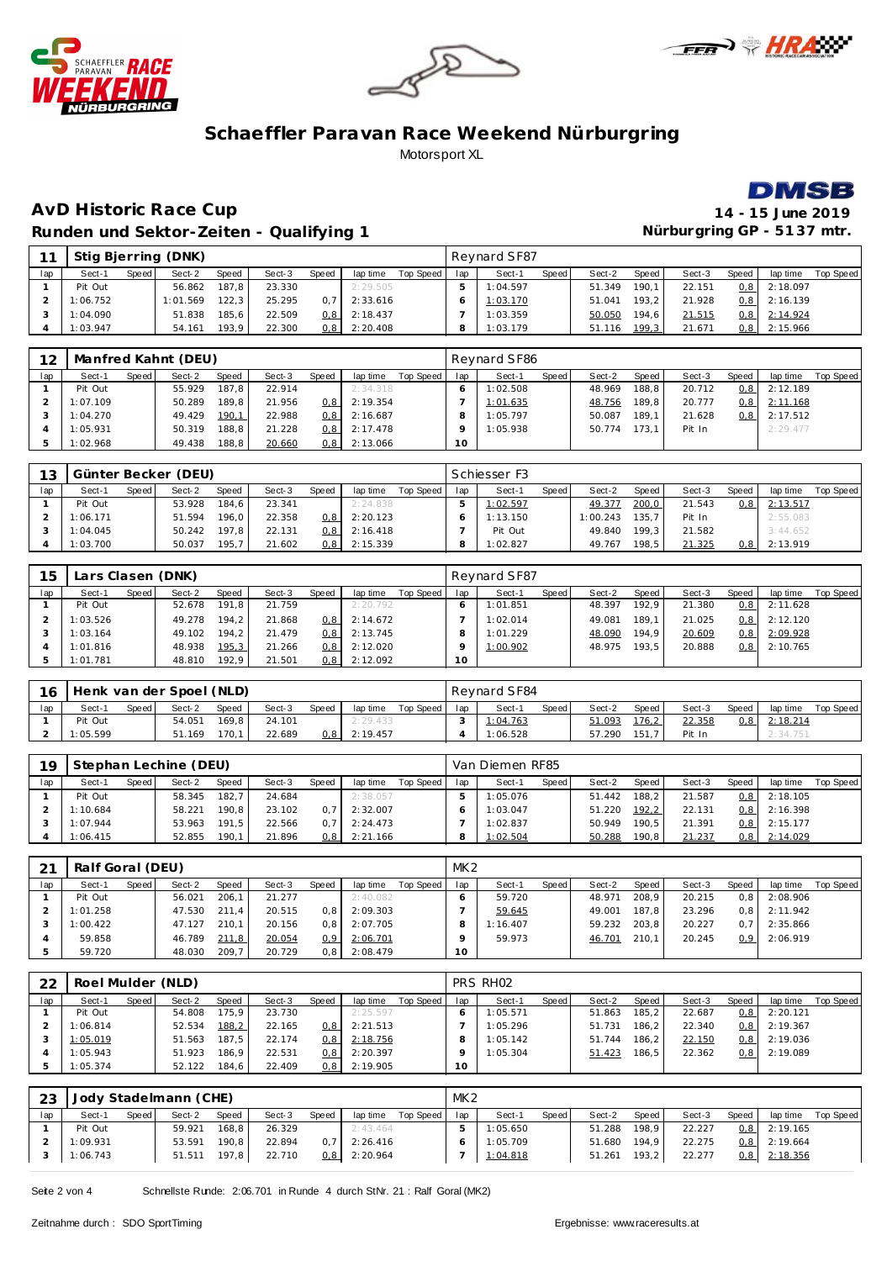







### **AvD Historic Race Cup 14 - 15 June 2019 Runden und Sektor-Zeiten - Qualifying 1**

| 11  |          |       | Stig Bjerring (DNK) |       |        |              |          |           |     | Revnard SF87 |       |        |       |        |                  |          |           |
|-----|----------|-------|---------------------|-------|--------|--------------|----------|-----------|-----|--------------|-------|--------|-------|--------|------------------|----------|-----------|
| lap | Sect-1   | Speed | Sect-2              | Speed | Sect-3 | <b>Speed</b> | lap time | Top Speed | lap | Sect-1       | Speed | Sect-2 | Speed | Sect-3 | Speed            | lap time | Top Speed |
|     | Pit Out  |       | 56.862              | 187.8 | 23.330 |              | 2:29.505 |           |     | 1:04.597     |       | 51.349 | 190.1 | 22.151 | 0.8 <sub>1</sub> | 2:18.097 |           |
|     | 1:06.752 |       | 1:01.569            | 122.3 | 25.295 | 0.7          | 2:33.616 |           |     | 1:03.170     |       | 51.041 | 193.2 | 21.928 | 0.8 <sub>1</sub> | 2:16.139 |           |
|     | 1:04.090 |       | 51.838              | 185.6 | 22.509 | 0,8 l        | 2:18.437 |           |     | 1:03.359     |       | 50.050 | 194.6 | 21.515 | 0,8              | 2:14.924 |           |
|     | 1:03.947 |       | 54.161              | 193.9 | 22.300 | 0,8 l        | 2:20.408 |           |     | 1:03.179     |       | 51.116 | 199,3 | 21.671 | 0,8              | 2:15.966 |           |

| 12  |          |       | Manfred Kahnt (DEU) |       |        |                  |          |           |     | Reynard SF86 |       |        |        |        |       |          |           |
|-----|----------|-------|---------------------|-------|--------|------------------|----------|-----------|-----|--------------|-------|--------|--------|--------|-------|----------|-----------|
| lap | Sect-1   | Speed | Sect-2              | Speed | Sect-3 | Speed            | lap time | Top Speed | lap | Sect-1       | Speed | Sect-2 | Speed, | Sect-3 | Speed | lap time | Top Speed |
|     | Pit Out  |       | 55.929              | 187.8 | 22.914 |                  | 2:34.318 |           |     | 1:02.508     |       | 48.969 | 188.8  | 20.712 | 0, 8  | 2:12.189 |           |
|     | 1:07.109 |       | 50.289              | 189.8 | 21.956 | 0.8 <sub>1</sub> | 2:19.354 |           |     | 1:01.635     |       | 48.756 | 189.8  | 20.777 | 0,8   | 2:11.168 |           |
|     | 1:04.270 |       | 49.429              | 190,1 | 22.988 | 0.8              | 2:16.687 |           |     | 1:05.797     |       | 50.087 | 189.1  | 21.628 | 0, 8  | 2:17.512 |           |
|     | 1:05.931 |       | 50.319              | 188.8 | 21.228 | 0.8 <sub>1</sub> | 2:17.478 |           |     | 1:05.938     |       | 50.774 | 173.11 | Pit In |       | 2:29.477 |           |
|     | 1:02.968 |       | 49.438              | 188,8 | 20.660 | 0, 8             | 2:13.066 |           | 10  |              |       |        |        |        |       |          |           |

| 13  |          |       | Günter Becker (DEU) |       |        |                  |          |           |     | Schiesser F3 |       |          |       |        |       |          |           |
|-----|----------|-------|---------------------|-------|--------|------------------|----------|-----------|-----|--------------|-------|----------|-------|--------|-------|----------|-----------|
| lap | Sect-1   | Speed | Sect-2              | Speed | Sect-3 | Speed            | lap time | Top Speed | lap | Sect-1       | Speed | Sect-2   | Speed | Sect-3 | Speed | lap time | Top Speed |
|     | Pit Out  |       | 53.928              | 184.6 | 23.341 |                  | 2:24.838 |           |     | 1:02.597     |       | 49.377   | 200,0 | 21.543 | 0, 8  | 2:13.517 |           |
|     | 1:06.171 |       | 51.594              | 196.0 | 22.358 | 0, 8             | 2:20.123 |           |     | 1:13.150     |       | 1:00.243 | 135.7 | Pit In |       | 2:55.083 |           |
|     | 1:04.045 |       | 50.242              | 197.8 | 22.131 | 0.8 <sub>1</sub> | 2:16.418 |           |     | Pit Out      |       | 49.840   | 199.3 | 21.582 |       | 3:44.652 |           |
|     | 1:03.700 |       | 50.037              | 195.7 | 21.602 | 0, 8             | 2:15.339 |           |     | 1:02.827     |       | 49.767   | 198.5 | 21.325 | 0, 8  | 2:13.919 |           |

| 15  | Lars Clasen (DNK) |       |        |       |        |               |          |           |        | Reynard SF87 |       |        |       |        |       |          |           |
|-----|-------------------|-------|--------|-------|--------|---------------|----------|-----------|--------|--------------|-------|--------|-------|--------|-------|----------|-----------|
| lap | Sect-1            | Speed | Sect-2 | Speed | Sect-3 | Speed         | lap time | Top Speed | lap    | Sect-1       | Speed | Sect-2 | Speed | Sect-3 | Speed | lap time | Top Speed |
|     | Pit Out           |       | 52.678 | 191.8 | 21.759 |               | 2:20.792 |           |        | 1:01.851     |       | 48.397 | 192.9 | 21.380 | 0, 8  | 2:11.628 |           |
|     | 1:03.526          |       | 49.278 | 194.2 | 21.868 | 0.8           | 2:14.672 |           |        | 1:02.014     |       | 49.081 | 189.1 | 21.025 | 0, 8  | 2:12.120 |           |
|     | 1:03.164          |       | 49.102 | 194.2 | 21.479 | $0.8^{\circ}$ | 2:13.745 |           |        | 1:01.229     |       | 48.090 | 194.9 | 20.609 | 0, 8  | 2:09.928 |           |
|     | 1:01.816          |       | 48.938 | 195,3 | 21.266 | 0.8           | 2:12.020 |           |        | 1:00.902     |       | 48.975 | 193.5 | 20.888 | 0,8   | 2:10.765 |           |
|     | 1:01.781          |       | 48.810 | 192.9 | 21.501 | 0, 8          | 2:12.092 |           | $10-1$ |              |       |        |       |        |       |          |           |

| 16  | Henk van der Spoel (NLD) |       |        |       |        |       |          |           |     | Revnard SF84 |       |        |       |        |       |          |           |
|-----|--------------------------|-------|--------|-------|--------|-------|----------|-----------|-----|--------------|-------|--------|-------|--------|-------|----------|-----------|
| lap | Sect-1                   | Speed | Sect-2 | Speed | Sect-3 | Speed | lap time | Top Speed | lap | Sect-1       | Speed | Sect-2 | Speed | Sect-3 | Speed | lap time | Top Speed |
|     | Pit Out                  |       | 54.051 | 169.8 | 24.101 |       | 2:29.433 |           |     | 1:04.763     |       | 51.093 | 176,2 | 22.358 | 0,8   | 2:18.214 |           |
|     | :05.599                  |       | 51.169 | 170.1 | 22.689 | J.8 I | 2:19.457 |           |     | 1:06.528     |       | 57.290 |       | Pit In |       | 2:34.751 |           |

| 19  |          |       | Stephan Lechine (DEU) |       |        |       |          |           |     | Van Diemen RF85 |       |        |       |        |                  |          |           |
|-----|----------|-------|-----------------------|-------|--------|-------|----------|-----------|-----|-----------------|-------|--------|-------|--------|------------------|----------|-----------|
| lap | Sect-1   | Speed | Sect-2                | Speed | Sect-3 | Speed | lap time | Top Speed | lap | Sect-1          | Speed | Sect-2 | Speed | Sect-3 | Speed            | lap time | Top Speed |
|     | Pit Out  |       | 58.345                | 182.7 | 24.684 |       | 2:38.057 |           |     | 1:05.076        |       | 51.442 | 188.2 | 21.587 | 0.8              | 2:18.105 |           |
|     | 1:10.684 |       | 58.221                | 190.8 | 23.102 |       | 2:32.007 |           |     | 1:03.047        |       | 51.220 | 192,2 | 22.131 | 0,8              | 2:16.398 |           |
|     | 1:07.944 |       | 53.963                | 191.5 | 22.566 | 0.7   | 2:24.473 |           |     | 1:02.837        |       | 50.949 | 190.5 | 21.391 | 0.8 <sub>1</sub> | 2:15.177 |           |
|     | 1:06.415 |       | 52.855                | 190.1 | 21.896 | 0, 8  | 2:21.166 |           |     | 1:02.504        |       | 50.288 | 190.8 | 21.237 | 0, 8             | 2:14.029 |           |

| 21  | Ralf Goral (DEU) |       |        |       |        |                  |          |           | MK <sub>2</sub> |          |       |        |       |        |                  |          |           |
|-----|------------------|-------|--------|-------|--------|------------------|----------|-----------|-----------------|----------|-------|--------|-------|--------|------------------|----------|-----------|
| lap | Sect-1           | Speed | Sect-2 | Speed | Sect-3 | Speed            | lap time | Top Speed | lap             | Sect-1   | Speed | Sect-2 | Speed | Sect-3 | Speed            | lap time | Top Speed |
|     | Pit Out          |       | 56.021 | 206.1 | 21.277 |                  | 2:40.082 |           |                 | 59.720   |       | 48.971 | 208.9 | 20.215 | 0.8              | 2:08.906 |           |
|     | 1:01.258         |       | 47.530 | 211.4 | 20.515 | 0.8              | 2:09.303 |           |                 | 59.645   |       | 49.001 | 187.8 | 23.296 | 0.8 <sub>1</sub> | 2:11.942 |           |
|     | 1:00.422         |       | 47.127 | 210.1 | 20.156 | 0.8 <sub>1</sub> | 2:07.705 |           |                 | 1:16.407 |       | 59.232 | 203.8 | 20.227 | 0.7              | 2:35.866 |           |
|     | 59.858           |       | 46.789 | 211,8 | 20.054 | 0.9              | 2:06.701 |           |                 | 59.973   |       | 46.701 | 210.1 | 20.245 | 0.9 <sup>°</sup> | 2:06.919 |           |
|     | 59.720           |       | 48.030 | 209.7 | 20.729 | 0.8              | 2:08.479 |           | 10              |          |       |        |       |        |                  |          |           |

| 22  | Roel Mulder (NLD) |         |        |        |        |       |          |           |     | PRS RH <sub>02</sub> |       |        |       |        |                  |          |           |
|-----|-------------------|---------|--------|--------|--------|-------|----------|-----------|-----|----------------------|-------|--------|-------|--------|------------------|----------|-----------|
| lap | Sect-1            | Speed I | Sect-2 | Speed  | Sect-3 | Speed | lap time | Top Speed | lap | Sect-1               | Speed | Sect-2 | Speed | Sect-3 | Speed            | lap time | Top Speed |
|     | Pit Out           |         | 54.808 | 175.9. | 23.730 |       | 2:25.597 |           |     | 1:05.571             |       | 51.863 | 185.2 | 22.687 | 0, 8             | 2:20.121 |           |
|     | 1:06.814          |         | 52.534 | 188,2  | 22.165 | 0.81  | 2:21.513 |           |     | 1:05.296             |       | 51.731 | 186.2 | 22.340 | 0.8 <sub>1</sub> | 2:19.367 |           |
|     | 1:05.019          |         | 51.563 | 187.5  | 22.174 | 0.8   | 2:18.756 |           |     | 1:05.142             |       | 51.744 | 186.2 | 22.150 | 0,8              | 2:19.036 |           |
|     | 1:05.943          |         | 51.923 | 186.9  | 22.531 | 0.81  | 2:20.397 |           |     | 1:05.304             |       | 51.423 | 186.5 | 22.362 | 0,8              | 2:19.089 |           |
|     | 1:05.374          |         | 52.122 | 184.6  | 22.409 | 0,81  | 2:19.905 |           | 10  |                      |       |        |       |        |                  |          |           |

| 23  |          |       | Jody Stadelmann (CHE) |       |        |       |                |           | MK <sub>2</sub> |          |       |              |       |        |                  |                |           |
|-----|----------|-------|-----------------------|-------|--------|-------|----------------|-----------|-----------------|----------|-------|--------------|-------|--------|------------------|----------------|-----------|
| lap | Sect-1   | Speed | Sect-2                | Speed | Sect-3 | Speed | lap time       | Top Speed | lap             | Sect-1   | Speed | Sect-2       | Speed | Sect-3 | Speed            | lap time       | Top Speed |
|     | Pit Out  |       | 59.921                | 168.8 | 26.329 |       | 2:43.464       |           |                 | 1:05.650 |       | 51.288       | 198.9 | 22.227 | 0.8 <sub>1</sub> | 2:19.165       |           |
|     | 1:09.931 |       | 53.591                | 190.8 | 22.894 | 0.7   | 2:26.416       |           |                 | 1:05.709 |       | 51.680 194,9 |       | 22.275 |                  | $0,8$ 2:19.664 |           |
|     | 1:06.743 |       | 51.511                | 197.8 | 22.710 |       | $0.8$ 2:20.964 |           |                 | 1:04.818 |       | 51.261       | 193,2 | 22.277 | 0, 8             | 2:18.356       |           |

Seite 2 von 4 Schnellste Runde: 2:06.701 in Runde 4 durch StNr. 21 : Ralf Goral (MK2)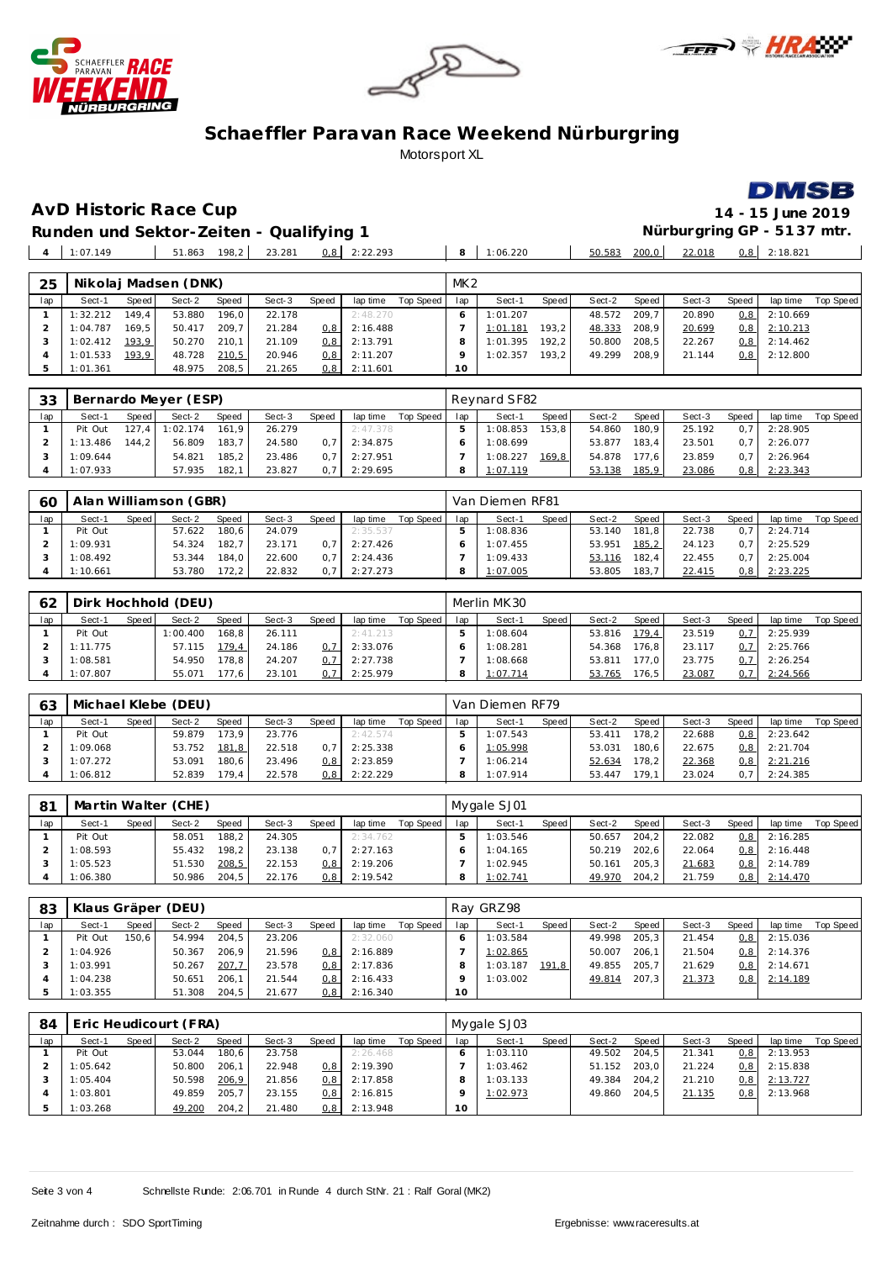







 $\mathbb{R}^2$ 

**AvD Historic Race Cup 14 - 15 June 2019**

**Runden und Sektor-Zeiten - Qualifying 1 Nürburgring GP - 51 37 mtr.** 1:07.149 51.863 198,2 23.281 0,8 2:22.293 **8** 1:06.220 50.583 200,0 22.018 0,8 2:18.821

| 25  |          |       | Nikolaj Madsen (DNK) |       |        |                  |          |           | MK <sub>2</sub> |          |       |        |       |        |       |          |           |
|-----|----------|-------|----------------------|-------|--------|------------------|----------|-----------|-----------------|----------|-------|--------|-------|--------|-------|----------|-----------|
| lap | Sect-1   | Speed | Sect-2               | Speed | Sect-3 | Speed            | lap time | Top Speed | lap             | Sect-1   | Speed | Sect-2 | Speed | Sect-3 | Speed | lap time | Top Speed |
|     | 1:32.212 | 149.4 | 53.880               | 196.0 | 22.178 |                  | 2:48.270 |           |                 | 1:01.207 |       | 48.572 | 209.7 | 20.890 | 0,8   | 2:10.669 |           |
|     | 1:04.787 | 169.5 | 50.417               | 209.7 | 21.284 | 0.8              | 2:16.488 |           |                 | 1:01.181 | 193,2 | 48.333 | 208,9 | 20.699 | 0,8   | 2:10.213 |           |
|     | 1:02.412 | 193,9 | 50.270               | 210.1 | 21.109 | 0, 8             | 2:13.791 |           |                 | 1:01.395 | 192.2 | 50.800 | 208,5 | 22.267 | 0, 8  | 2:14.462 |           |
|     | 1:01.533 | 193,9 | 48.728               | 210,5 | 20.946 | 0.8 <sub>1</sub> | 2:11.207 |           |                 | 1:02.357 | 193.2 | 49.299 | 208.9 | 21.144 | 0,8   | 2:12.800 |           |
|     | 1:01.361 |       | 48.975               | 208,5 | 21.265 | 0, 8             | 2:11.601 |           | 10              |          |       |        |       |        |       |          |           |

| 33  |          |         | Bernardo Meyer (ESP) |       |        |       |          |           |     | Revnard SF82 |                    |        |       |        |                  |          |           |
|-----|----------|---------|----------------------|-------|--------|-------|----------|-----------|-----|--------------|--------------------|--------|-------|--------|------------------|----------|-----------|
| lap | Sect-1   | Speed   | Sect-2               | Speed | Sect-3 | Speed | lap time | Top Speed | lap | Sect-1       | Speed              | Sect-2 | Speed | Sect-3 | Speed            | lap time | Top Speed |
|     | Pit Out  | 127.4 I | 1:02.174             | 161.9 | 26.279 |       | 2:47.378 |           |     | 1:08.853     | 153.8              | 54.860 | 180.9 | 25.192 | 0.7 <sub>l</sub> | 2:28.905 |           |
|     | 1:13.486 | 144.2 l | 56.809               | 183.7 | 24.580 |       | 2:34.875 |           |     | 1:08.699     |                    | 53.877 | 183.4 | 23.501 | 0.7              | 2:26.077 |           |
|     | 1:09.644 |         | 54.821               | 185.2 | 23.486 |       | 2:27.951 |           |     | 1:08.227     | 169.8 <sub>1</sub> | 54.878 | 77.6  | 23.859 | 0.7              | 2:26.964 |           |
|     | 1:07.933 |         | 57.935               | 182.1 | 23.827 |       | 2:29.695 |           |     | 1:07.119     |                    | 53.138 | 185,9 | 23.086 | 0,8              | 2:23.343 |           |

| 60  |          |       | Alan Williamson (GBR) |       |        |       |          |           |     | Van Diemen RF81 |       |        |       |        |              |          |           |
|-----|----------|-------|-----------------------|-------|--------|-------|----------|-----------|-----|-----------------|-------|--------|-------|--------|--------------|----------|-----------|
| lap | Sect-1   | Speed | Sect-2                | Speed | Sect-3 | Speed | lap time | Top Speed | lap | Sect-1          | Speed | Sect-2 | Speed | Sect-3 | <b>Speed</b> | lap time | Top Speed |
|     | Pit Out  |       | 57.622                | 180.6 | 24.079 |       | 2:35.537 |           |     | 1:08.836        |       | 53.140 | 181.8 | 22.738 | 0.7          | 2:24.714 |           |
|     | 1:09.931 |       | 54.324                | 182.7 | 23.171 |       | 2:27.426 |           |     | 1:07.455        |       | 53.951 | 185,2 | 24.123 | 0.7          | 2:25.529 |           |
|     | 1:08.492 |       | 53.344                | 184.0 | 22.600 |       | 2:24.436 |           |     | 1:09.433        |       | 53.116 | 82.4  | 22.455 | 0.7          | 2:25.004 |           |
|     | 1:10.661 |       | 53.780                | 172.2 | 22.832 |       | 2:27.273 |           |     | 1:07.005        |       | 53.805 | 183.7 | 22.415 | 0, 8         | 2:23.225 |           |

| 62  |          |       | Dirk Hochhold (DEU) |       |        |       |          |           |     | Merlin MK30 |       |        |       |        |                  |          |           |
|-----|----------|-------|---------------------|-------|--------|-------|----------|-----------|-----|-------------|-------|--------|-------|--------|------------------|----------|-----------|
| lap | Sect-1   | Speed | Sect-2              | Speed | Sect-3 | Speed | lap time | Top Speed | lap | Sect-1      | Speed | Sect-2 | Speed | Sect-3 | Speed            | lap time | Top Speed |
|     | Pit Out  |       | 1:00.400            | 168.8 | 26.111 |       | 2:41.213 |           |     | 1:08.604    |       | 53.816 | 179,4 | 23.519 | 0.7 <sub>1</sub> | 2:25.939 |           |
|     | 1:11.775 |       | 57.115              | 179.4 | 24.186 | 0.7   | 2:33.076 |           |     | 1:08.281    |       | 54.368 | 176.8 | 23.117 | 0.7 <sup>1</sup> | 2:25.766 |           |
|     | 1:08.581 |       | 54.950              | 178.8 | 24.207 |       | 2:27.738 |           |     | 1:08.668    |       | 53.811 | 177.0 | 23.775 | 0.7 <sup>1</sup> | 2:26.254 |           |
|     | 1:07.807 |       | 55.071              | 177.6 | 23.101 |       | 2:25.979 |           | 8   | 1:07.714    |       | 53.765 | 76,5  | 23.087 | 0, 7             | 2:24.566 |           |

| 63  |          |       | Michael Klebe (DEU) |                    |        |                  |          |           |     | Van Diemen RF79 |       |        |        |        |       |          |           |
|-----|----------|-------|---------------------|--------------------|--------|------------------|----------|-----------|-----|-----------------|-------|--------|--------|--------|-------|----------|-----------|
| lap | Sect-1   | Speed | Sect-2              | Speed              | Sect-3 | Speed            | lap time | Top Speed | lap | Sect-1          | Speed | Sect-2 | Speed  | Sect-3 | Speed | lap time | Top Speed |
|     | Pit Out  |       | 59.879              | 173,9              | 23.776 |                  | 2:42.574 |           |     | 1:07.543        |       | 53.411 | '78.2' | 22.688 | 0,8   | 2:23.642 |           |
|     | 1:09.068 |       | 53.752              | 181,8              | 22.518 |                  | 2:25.338 |           |     | 1:05.998        |       | 53.031 | 180.6  | 22.675 | 0,8   | 2:21.704 |           |
|     | 1:07.272 |       | 53.091              | 180.6 <sub>1</sub> | 23.496 | 0.8 <sub>1</sub> | 2:23.859 |           |     | 1:06.214        |       | 52.634 | 178.2  | 22.368 | 0,8   | 2:21.216 |           |
|     | 1:06.812 |       | 52.839              | 179.4              | 22.578 | 0.8 <sub>1</sub> | 2:22.229 |           |     | 1:07.914        |       | 53.447 | 79.1   | 23.024 | 0.7   | 2:24.385 |           |

| 81  |          |       | Martin Walter (CHE) |       |        |              |          |           |     | Mygale SJ01 |       |        |       |        |               |          |           |
|-----|----------|-------|---------------------|-------|--------|--------------|----------|-----------|-----|-------------|-------|--------|-------|--------|---------------|----------|-----------|
| lap | Sect-1   | Speed | Sect-2              | Speed | Sect-3 | <b>Speed</b> | lap time | Top Speed | lap | Sect-1      | Speed | Sect-2 | Speed | Sect-3 | Speed         | lap time | Top Speed |
|     | Pit Out  |       | 58.051              | 188.2 | 24.305 |              | 2:34.762 |           |     | 1:03.546    |       | 50.657 | 204.2 | 22.082 | 0.8           | 2:16.285 |           |
|     | 1:08.593 |       | 55.432              | 198.2 | 23.138 |              | 2:27.163 |           |     | 1:04.165    |       | 50.219 | 202.6 | 22.064 | $0.8^{\circ}$ | 2:16.448 |           |
|     | 1:05.523 |       | 51.530              | 208,5 | 22.153 | ). 8 I       | 2:19.206 |           |     | 1:02.945    |       | 50.161 | 205.3 | 21.683 | 0,8           | 2:14.789 |           |
|     | 1:06.380 |       | 50.986              | 204.5 | 22.176 | 0.8 I        | 2:19.542 |           |     | 1:02.741    |       | 49.970 | 204.2 | 21.759 | 0,8           | 2:14.470 |           |

| 83  |          |         | Klaus Gräper (DEU) |       |        |                  |          |           |        | Ray GRZ98 |       |        |       |        |                  |          |           |
|-----|----------|---------|--------------------|-------|--------|------------------|----------|-----------|--------|-----------|-------|--------|-------|--------|------------------|----------|-----------|
| lap | Sect-1   | Speed I | Sect-2             | Speed | Sect-3 | Speed            | lap time | Top Speed | lap    | Sect-1    | Speed | Sect-2 | Speed | Sect-3 | Speed            | lap time | Top Speed |
|     | Pit Out  | 150.6   | 54.994             | 204.5 | 23.206 |                  | 2:32.060 |           |        | 1:03.584  |       | 49.998 | 205.3 | 21.454 | 0, 8             | 2:15.036 |           |
|     | 1:04.926 |         | 50.367             | 206.9 | 21.596 | 0.8 <sub>1</sub> | 2:16.889 |           |        | 1:02.865  |       | 50.007 | 206.1 | 21.504 | 0.8 <sub>1</sub> | 2:14.376 |           |
|     | 1:03.991 |         | 50.267             | 207,7 | 23.578 | 0.8 <sub>1</sub> | 2:17.836 |           |        | 1:03.187  | 191.8 | 49.855 | 205.7 | 21.629 | 0, 8             | 2:14.671 |           |
|     | 1:04.238 |         | 50.651             | 206.1 | 21.544 | 0.8 <sub>1</sub> | 2:16.433 |           |        | 1:03.002  |       | 49.814 | 207.3 | 21.373 | 0, 8             | 2:14.189 |           |
|     | 1:03.355 |         | 51.308             | 204,5 | 21.677 | 0,8              | 2:16.340 |           | $10-1$ |           |       |        |       |        |                  |          |           |

| 84  |          |       | Eric Heudicourt (FRA) |              |        |       |          |           | Mygale SJ03 |          |       |        |       |        |       |          |           |  |  |
|-----|----------|-------|-----------------------|--------------|--------|-------|----------|-----------|-------------|----------|-------|--------|-------|--------|-------|----------|-----------|--|--|
| lap | Sect-1   | Speed | Sect-2                | <b>Speed</b> | Sect-3 | Speed | lap time | Top Speed | lap         | Sect-1   | Speed | Sect-2 | Speed | Sect-3 | Speed | lap time | Top Speed |  |  |
|     | Pit Out  |       | 53.044                | 180.6        | 23.758 |       | 2:26.468 |           |             | 1:03.110 |       | 49.502 | 204.5 | 21.341 | 0, 8  | 2:13.953 |           |  |  |
|     | 1:05.642 |       | 50.800                | 206.1        | 22.948 | 0.8   | 2:19.390 |           |             | 1:03.462 |       | 51.152 | 203.0 | 21.224 | 0, 8  | 2:15.838 |           |  |  |
|     | 1:05.404 |       | 50.598                | 206,9        | 21.856 | 0.8   | 2:17.858 |           |             | 1:03.133 |       | 49.384 | 204.2 | 21.210 | 0, 8  | 2:13.727 |           |  |  |
|     | 1:03.801 |       | 49.859                | 205.7        | 23.155 | 0.8   | 2:16.815 |           |             | 1:02.973 |       | 49.860 | 204.5 | 21.135 | 0, 8  | 2:13.968 |           |  |  |
|     | 1:03.268 |       | 49.200                | 204.2        | 21.480 | 0, 8  | 2:13.948 |           | $10-10$     |          |       |        |       |        |       |          |           |  |  |